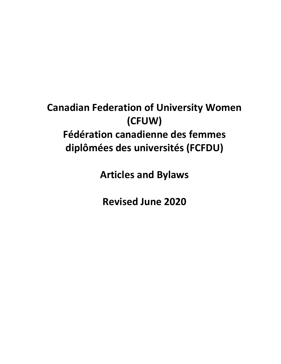# **Canadian Federation of University Women (CFUW) Fédération canadienne des femmes diplômées des universités (FCFDU)**

**Articles and Bylaws**

**Revised June 2020**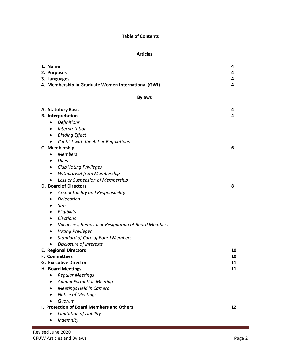# **Table of Contents**

# **Articles**

| 1. Name<br>2. Purposes<br>3. Languages<br>4. Membership in Graduate Women International (GWI)                                                                                                                                                    | 4<br>4<br>4<br>4     |  |
|--------------------------------------------------------------------------------------------------------------------------------------------------------------------------------------------------------------------------------------------------|----------------------|--|
| <b>Bylaws</b>                                                                                                                                                                                                                                    |                      |  |
| A. Statutory Basis<br><b>B.</b> Interpretation<br>Definitions<br>٠<br>Interpretation<br>٠<br><b>Binding Effect</b><br>٠                                                                                                                          | 4<br>4               |  |
| Conflict with the Act or Regulations<br>C. Membership<br><b>Members</b><br>$\bullet$<br>Dues<br>$\bullet$                                                                                                                                        | 6                    |  |
| <b>Club Voting Privileges</b><br>٠<br>Withdrawal from Membership<br>$\bullet$<br>Loss or Suspension of Membership<br>$\bullet$<br><b>D. Board of Directors</b><br>Accountability and Responsibility<br>٠<br>Delegation<br>٠<br>Size<br>$\bullet$ | 8                    |  |
| Eligibility<br>٠<br>Elections<br>٠<br>Vacancies, Removal or Resignation of Board Members<br>٠<br><b>Voting Privileges</b><br>٠<br><b>Standard of Care of Board Members</b><br>$\bullet$<br>Disclosure of Interests<br>$\bullet$                  |                      |  |
| <b>E. Regional Directors</b><br>F. Committees<br><b>G. Executive Director</b><br>H. Board Meetings                                                                                                                                               | 10<br>10<br>11<br>11 |  |
| <b>Regular Meetings</b><br>$\bullet$<br><b>Annual Formation Meeting</b><br>Meetings Held in Camera<br>$\bullet$<br><b>Notice of Meetings</b><br>Quorum<br>$\bullet$                                                                              |                      |  |
| I. Protection of Board Members and Others<br>Limitation of Liability<br>$\bullet$<br>Indemnity<br>$\bullet$                                                                                                                                      | 12                   |  |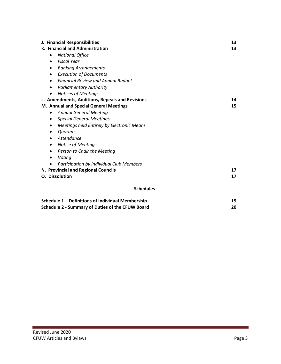| J. Financial Responsibilities                           | 13 |
|---------------------------------------------------------|----|
| K. Financial and Administration                         | 13 |
| <b>National Office</b><br>$\bullet$                     |    |
| <b>Fiscal Year</b><br>$\bullet$                         |    |
| <b>Banking Arrangements.</b><br>$\bullet$               |    |
| <b>Execution of Documents</b><br>$\bullet$              |    |
| <b>Financial Review and Annual Budget</b><br>$\bullet$  |    |
| <b>Parliamentary Authority</b><br>$\bullet$             |    |
| <b>Notices of Meetings</b><br>$\bullet$                 |    |
| L. Amendments, Additions, Repeals and Revisions         | 14 |
| M. Annual and Special General Meetings                  | 15 |
| <b>Annual General Meeting</b><br>٠                      |    |
| <b>Special General Meetings</b><br>$\bullet$            |    |
| Meetings held Entirely by Electronic Means<br>$\bullet$ |    |
| Quorum<br>٠                                             |    |
| Attendance<br>$\bullet$                                 |    |
| Notice of Meeting<br>٠                                  |    |
| Person to Chair the Meeting<br>$\bullet$                |    |
| Voting<br>$\bullet$                                     |    |
| Participation by Individual Club Members                |    |
| N. Provincial and Regional Councils                     | 17 |
| <b>O.</b> Dissolution                                   | 17 |
|                                                         |    |
| <b>Schedules</b>                                        |    |
| Schedule 1 - Definitions of Individual Membership       | 19 |
| <b>Schedule 2 - Summary of Duties of the CFUW Board</b> | 20 |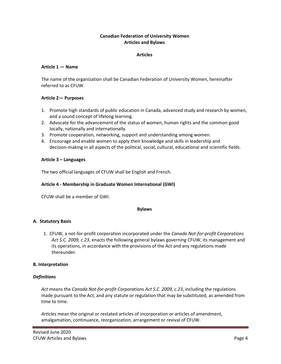# **Canadian Federation of University Women Articles and Bylaws**

## **Articles**

## **Article 1 — Name**

The name of the organization shall be Canadian Federation of University Women, hereinafter referred to as CFUW.

# **Article 2— Purposes**

- 1. Promote high standards of public education in Canada, advanced study and research by women, and a sound concept of lifelong learning.
- 2. Advocate for the advancement of the status of women, human rights and the common good locally, nationally and internationally.
- 3. Promote cooperation, networking, support and understanding among women.
- 4. Encourage and enable women to apply their knowledge and skills in leadership and decision-making in all aspects of the political, social, cultural, educational and scientific fields.

## **Article 3 – Languages**

The two official languages of CFUW shall be English and French.

## **Article 4 - Membership in Graduate Women International (GWI)**

CFUW shall be a member of GWI.

#### **Bylaws**

## **A. Statutory Basis**

1. CFUW, a not-for-profit corporation incorporated under the *Canada Not-for-profit Corporations Act S.C. 2009, c.23*, enacts the following general bylaws governing CFUW, its management and its operations, in accordance with the provisions of the Act and any regulations made thereunder.

## **B. Interpretation**

## *Definitions*

*Act* means the *Canada Not-for-profit Corporations Act S.C. 2009, c.23*, including the regulations made pursuant to the Act, and any statute or regulation that may be substituted, as amended from time to time.

*Articles* mean the original or restated articles of incorporation or articles of amendment, amalgamation, continuance, reorganization, arrangement or revival of CFUW.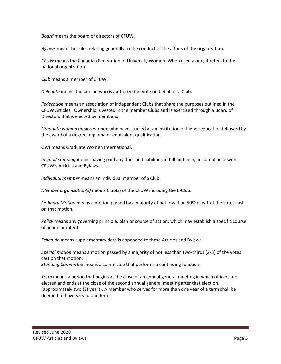*Board* means the board of directors of CFUW.

*Bylaws* mean the rules relating generally to the conduct of the affairs of the organization.

*CFUW* means the Canadian Federation of University Women. When used alone, it refers to the national organization.

*Club* means a member of CFUW.

*Delegate* means the person who is authorized to vote on behalf of a Club.

*Federation* means an association of independent Clubs that share the purposes outlined in the CFUW Articles. Ownership is vested in the member Clubs and is exercised through a Board of Directors that is elected by members.

*Graduate women* means women who have studied at an institution of higher education followed by the award of a degree, diploma or equivalent qualification.

GWI means Graduate Women International.

*In good standing* means having paid any dues and liabilities in full and being in compliance with CFUW's Articles and Bylaws.

*Individual member* means an individual member of a Club.

*Member organization(s)* means Club(s) of the CFUW including the E-Club.

*Ordinary Motion* means a motion passed by a majority of not less than 50% plus 1 of the votes cast on that motion.

*Policy* means any governing principle, plan or course of action, which may establish a specific course of action or intent.

*Schedule* means supplementary details appended to these Articles and Bylaws.

*Special motion* means a motion passed by a majority of not less than two-thirds (2/3) of the votes cast on that motion.

*Standing Committee* means a committee that performs a continuing function.

*Term* means a period that begins at the close of an annual general meeting in which officers are elected and ends at the close of the second annual general meeting after that election. (approximately two (2) years). A member who serves for more than one year of a term shall be deemed to have served one term.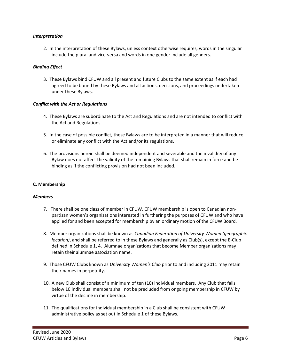## *Interpretation*

2. In the interpretation of these Bylaws, unless context otherwise requires, words in the singular include the plural and vice-versa and words in one gender include all genders.

# *Binding Effect*

3. These Bylaws bind CFUW and all present and future Clubs to the same extent as if each had agreed to be bound by these Bylaws and all actions, decisions, and proceedings undertaken under these Bylaws.

## *Conflict with the Act or Regulations*

- 4. These Bylaws are subordinate to the Act and Regulations and are not intended to conflict with the Act and Regulations.
- 5. In the case of possible conflict, these Bylaws are to be interpreted in a manner that will reduce or eliminate any conflict with the Act and/or its regulations.
- 6. The provisions herein shall be deemed independent and severable and the invalidity of any Bylaw does not affect the validity of the remaining Bylaws that shall remain in force and be binding as if the conflicting provision had not been included.

## **C. Membership**

#### *Members*

- 7. There shall be one class of member in CFUW. CFUW membership is open to Canadian nonpartisan women's organizations interested in furthering the purposes of CFUW and who have applied for and been accepted for membership by an ordinary motion of the CFUW Board.
- 8. Member organizations shall be known as *Canadian Federation of University Women (geographic location)*, and shall be referred to in these Bylaws and generally as Club(s), except the E-Club defined in Schedule 1, 4. Alumnae organizations that become Member organizations may retain their alumnae association name.
- 9. Those CFUW Clubs known as *University Women's Club* prior to and including 2011 may retain their names in perpetuity.
- 10. A new Club shall consist of a minimum of ten (10) individual members. Any Club that falls below 10 individual members shall not be precluded from ongoing membership in CFUW by virtue of the decline in membership.
- 11. The qualifications for individual membership in a Club shall be consistent with CFUW administrative policy as set out in Schedule 1 of these Bylaws.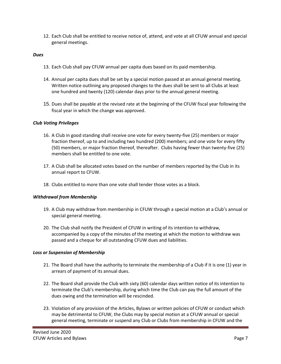12. Each Club shall be entitled to receive notice of, attend, and vote at all CFUW annual and special general meetings.

## *Dues*

- 13. Each Club shall pay CFUW annual per capita dues based on its paid membership.
- 14. Annual per capita dues shall be set by a special motion passed at an annual general meeting. Written notice outlining any proposed changes to the dues shall be sent to all Clubs at least one hundred and twenty (120) calendar days prior to the annual general meeting.
- 15. Dues shall be payable at the revised rate at the beginning of the CFUW fiscal year following the fiscal year in which the change was approved.

# *Club Voting Privileges*

- 16. A Club in good standing shall receive one vote for every twenty-five (25) members or major fraction thereof, up to and including two hundred (200) members; and one vote for every fifty (50) members, or major fraction thereof, thereafter. Clubs having fewer than twenty-five (25) members shall be entitled to one vote.
- 17. A Club shall be allocated votes based on the number of members reported by the Club in its annual report to CFUW.
- 18. Clubs entitled to more than one vote shall tender those votes as a block.

# *Withdrawal from Membership*

- 19. A Club may withdraw from membership in CFUW through a special motion at a Club's annual or special general meeting.
- 20. The Club shall notify the President of CFUW in writing of its intention to withdraw, accompanied by a copy of the minutes of the meeting at which the motion to withdraw was passed and a cheque for all outstanding CFUW dues and liabilities.

## *Loss or Suspension of Membership*

- 21. The Board shall have the authority to terminate the membership of a Club if it is one (1) year in arrears of payment of its annual dues.
- 22. The Board shall provide the Club with sixty (60) calendar days written notice of its intention to terminate the Club's membership, during which time the Club can pay the full amount of the dues owing and the termination will be rescinded.
- 23. Violation of any provision of the Articles, Bylaws or written policies of CFUW or conduct which may be detrimental to CFUW, the Clubs may by special motion at a CFUW annual or special general meeting, terminate or suspend any Club or Clubs from membership in CFUW and the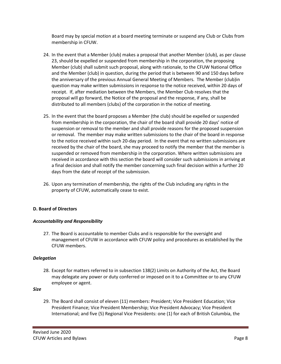Board may by special motion at a board meeting terminate or suspend any Club or Clubs from membership in CFUW.

- 24. In the event that a Member (club) makes a proposal that another Member (club), as per clause 23, should be expelled or suspended from membership in the corporation, the proposing Member (club) shall submit such proposal, along with rationale, to the CFUW National Office and the Member (club) in question, during the period that is between 90 and 150 days before the anniversary of the previous Annual General Meeting of Members. The Member (club)in question may make written submissions in response to the notice received, within 20 days of receipt. If, after mediation between the Members, the Member Club resolves that the proposal will go forward, the Notice of the proposal and the response, if any, shall be distributed to all members (clubs) of the corporation in the notice of meeting.
- 25. In the event that the board proposes a Member (the club) should be expelled or suspended from membership in the corporation, the chair of the board shall provide 20 days' notice of suspension or removal to the member and shall provide reasons for the proposed suspension or removal. The member may make written submissions to the chair of the board in response to the notice received within such 20-day period. In the event that no written submissions are received by the chair of the board, she may proceed to notify the member that the member is suspended or removed from membership in the corporation. Where written submissions are received in accordance with this section the board will consider such submissions in arriving at a final decision and shall notify the member concerning such final decision within a further 20 days from the date of receipt of the submission.
- 26. Upon any termination of membership, the rights of the Club including any rights in the property of CFUW, automatically cease to exist.

# **D. Board of Directors**

## *Accountability and Responsibility*

27. The Board is accountable to member Clubs and is responsible for the oversight and management of CFUW in accordance with CFUW policy and procedures as established by the CFUW members.

## *Delegation*

28. Except for matters referred to in subsection 138(2) Limits on Authority of the Act, the Board may delegate any power or duty conferred or imposed on it to a Committee or to any CFUW employee or agent.

# *Size*

29. The Board shall consist of eleven (11) members: President; Vice President Education; Vice President Finance; Vice President Membership; Vice President Advocacy; Vice President International; and five (5) Regional Vice Presidents: one (1) for each of British Columbia, the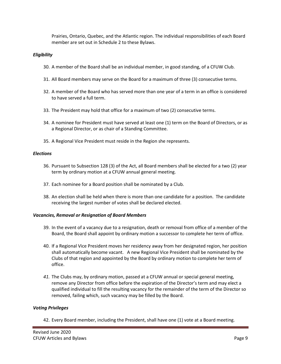Prairies, Ontario, Quebec, and the Atlantic region. The individual responsibilities of each Board member are set out in Schedule 2 to these Bylaws.

# *Eligibility*

- 30. A member of the Board shall be an individual member, in good standing, of a CFUW Club.
- 31. All Board members may serve on the Board for a maximum of three (3) consecutive terms.
- 32. A member of the Board who has served more than one year of a term in an office is considered to have served a full term.
- 33. The President may hold that office for a maximum of two (2) consecutive terms.
- 34. A nominee for President must have served at least one (1) term on the Board of Directors, or as a Regional Director, or as chair of a Standing Committee.
- 35. A Regional Vice President must reside in the Region she represents.

## *Elections*

- 36. Pursuant to Subsection 128 (3) of the Act, all Board members shall be elected for a two (2) year term by ordinary motion at a CFUW annual general meeting.
- 37. Each nominee for a Board position shall be nominated by a Club.
- 38. An election shall be held when there is more than one candidate for a position. The candidate receiving the largest number of votes shall be declared elected.

# *Vacancies, Removal or Resignation of Board Members*

- 39. In the event of a vacancy due to a resignation, death or removal from office of a member of the Board, the Board shall appoint by ordinary motion a successor to complete her term of office.
- 40. If a Regional Vice President moves her residency away from her designated region, her position shall automatically become vacant. A new Regional Vice President shall be nominated by the Clubs of that region and appointed by the Board by ordinary motion to complete her term of office.
- *41.* The Clubs may, by ordinary motion, passed at a CFUW annual or special general meeting, remove any Director from office before the expiration of the Director's term and may elect a qualified individual to fill the resulting vacancy for the remainder of the term of the Director so removed, failing which, such vacancy may be filled by the Board.

# *Voting Privileges*

42. Every Board member, including the President, shall have one (1) vote at a Board meeting.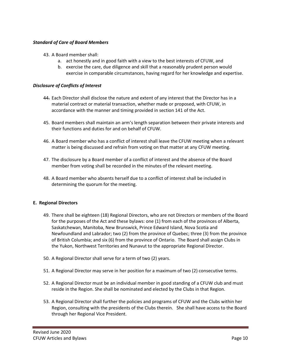# *Standard of Care of Board Members*

- 43. A Board member shall:
	- a. act honestly and in good faith with a view to the best interests of CFUW, and
	- b. exercise the care, due diligence and skill that a reasonably prudent person would exercise in comparable circumstances, having regard for her knowledge and expertise.

# *Disclosure of Conflicts of Interest*

- 44. Each Director shall disclose the nature and extent of any interest that the Director has in a material contract or material transaction, whether made or proposed, with CFUW, in accordance with the manner and timing provided in section 141 of the Act.
- 45. Board members shall maintain an arm's length separation between their private interests and their functions and duties for and on behalf of CFUW.
- 46. A Board member who has a conflict of interest shall leave the CFUW meeting when a relevant matter is being discussed and refrain from voting on that matter at any CFUW meeting.
- 47. The disclosure by a Board member of a conflict of interest and the absence of the Board member from voting shall be recorded in the minutes of the relevant meeting.
- 48. A Board member who absents herself due to a conflict of interest shall be included in determining the quorum for the meeting.

## **E. Regional Directors**

- 49. There shall be eighteen (18) Regional Directors, who are not Directors or members of the Board for the purposes of the Act and these bylaws: one (1) from each of the provinces of Alberta, Saskatchewan, Manitoba, New Brunswick, Prince Edward Island, Nova Scotia and Newfoundland and Labrador; two (2) from the province of Quebec; three (3) from the province of British Columbia; and six (6) from the province of Ontario. The Board shall assign Clubs in the Yukon, Northwest Territories and Nunavut to the appropriate Regional Director.
- 50. A Regional Director shall serve for a term of two (2) years.
- 51. A Regional Director may serve in her position for a maximum of two (2) consecutive terms.
- 52. A Regional Director must be an individual member in good standing of a CFUW club and must reside in the Region. She shall be nominated and elected by the Clubs in that Region.
- 53. A Regional Director shall further the policies and programs of CFUW and the Clubs within her Region, consulting with the presidents of the Clubs therein. She shall have access to the Board through her Regional Vice President.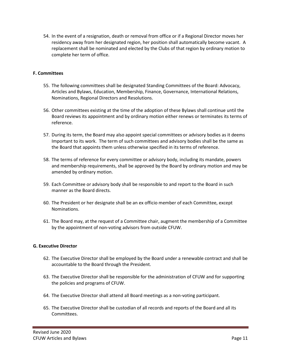54. In the event of a resignation, death or removal from office or if a Regional Director moves her residency away from her designated region, her position shall automatically become vacant. A replacement shall be nominated and elected by the Clubs of that region by ordinary motion to complete her term of office.

# **F. Committees**

- 55. The following committees shall be designated Standing Committees of the Board: Advocacy, Articles and Bylaws, Education, Membership, Finance, Governance, International Relations, Nominations, Regional Directors and Resolutions.
- 56. Other committees existing at the time of the adoption of these Bylaws shall continue until the Board reviews its appointment and by ordinary motion either renews or terminates its terms of reference.
- 57. During its term, the Board may also appoint special committees or advisory bodies as it deems Important to its work. The term of such committees and advisory bodies shall be the same as the Board that appoints them unless otherwise specified in its terms of reference.
- 58. The terms of reference for every committee or advisory body, including its mandate, powers and membership requirements, shall be approved by the Board by ordinary motion and may be amended by ordinary motion.
- 59. Each Committee or advisory body shall be responsible to and report to the Board in such manner as the Board directs.
- 60. The President or her designate shall be an ex officio member of each Committee, except Nominations.
- 61. The Board may, at the request of a Committee chair, augment the membership of a Committee by the appointment of non-voting advisors from outside CFUW.

## **G. Executive Director**

- 62. The Executive Director shall be employed by the Board under a renewable contract and shall be accountable to the Board through the President.
- 63. The Executive Director shall be responsible for the administration of CFUW and for supporting the policies and programs of CFUW.
- 64. The Executive Director shall attend all Board meetings as a non-voting participant.
- 65. The Executive Director shall be custodian of all records and reports of the Board and all its Committees.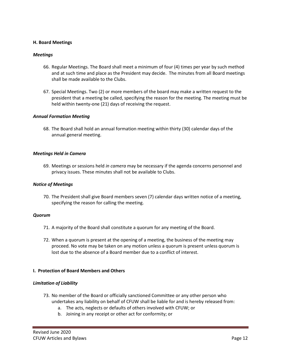## **H. Board Meetings**

#### *Meetings*

- 66. Regular Meetings. The Board shall meet a minimum of four (4) times per year by such method and at such time and place as the President may decide. The minutes from all Board meetings shall be made available to the Clubs.
- 67. Special Meetings. Two (2) or more members of the board may make a written request to the president that a meeting be called, specifying the reason for the meeting. The meeting must be held within twenty-one (21) days of receiving the request.

#### *Annual Formation Meeting*

68. The Board shall hold an annual formation meeting within thirty (30) calendar days of the annual general meeting.

#### *Meetings Held in Camera*

69. Meetings or sessions held *in camera* may be necessary if the agenda concerns personnel and privacy issues. These minutes shall not be available to Clubs.

#### *Notice of Meetings*

70. The President shall give Board members seven (7) calendar days written notice of a meeting, specifying the reason for calling the meeting.

#### *Quorum*

- 71. A majority of the Board shall constitute a quorum for any meeting of the Board.
- 72. When a quorum is present at the opening of a meeting, the business of the meeting may proceed. No vote may be taken on any motion unless a quorum is present unless quorum is lost due to the absence of a Board member due to a conflict of interest.

## **I. Protection of Board Members and Others**

## *Limitation of Liability*

- 73. No member of the Board or officially sanctioned Committee or any other person who undertakes any liability on behalf of CFUW shall be liable for and is hereby released from:
	- a. The acts, neglects or defaults of others involved with CFUW; or
	- b. Joining in any receipt or other act for conformity; or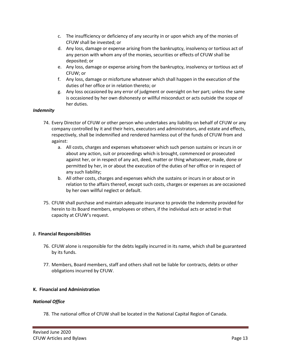- c. The insufficiency or deficiency of any security in or upon which any of the monies of CFUW shall be invested; or
- d. Any loss, damage or expense arising from the bankruptcy, insolvency or tortious act of any person with whom any of the monies, securities or effects of CFUW shall be deposited; or
- e. Any loss, damage or expense arising from the bankruptcy, insolvency or tortious act of CFUW; or
- f. Any loss, damage or misfortune whatever which shall happen in the execution of the duties of her office or in relation thereto; or
- g. Any loss occasioned by any error of judgment or oversight on her part; unless the same is occasioned by her own dishonesty or willful misconduct or acts outside the scope of her duties.

# *Indemnity*

- 74. Every Director of CFUW or other person who undertakes any liability on behalf of CFUW or any company controlled by it and their heirs, executors and administrators, and estate and effects, respectively, shall be indemnified and rendered harmless out of the funds of CFUW from and against:
	- a. All costs, charges and expenses whatsoever which such person sustains or incurs in or about any action, suit or proceedings which is brought, commenced or prosecuted against her, or in respect of any act, deed, matter or thing whatsoever, made, done or permitted by her, in or about the execution of the duties of her office or in respect of any such liability;
	- b. All other costs, charges and expenses which she sustains or incurs in or about or in relation to the affairs thereof, except such costs, charges or expenses as are occasioned by her own willful neglect or default.
- 75. CFUW shall purchase and maintain adequate insurance to provide the indemnity provided for herein to its Board members, employees or others, if the individual acts or acted in that capacity at CFUW's request.

# **J. Financial Responsibilities**

- 76. CFUW alone is responsible for the debts legally incurred in its name, which shall be guaranteed by its funds.
- 77. Members, Board members, staff and others shall not be liable for contracts, debts or other obligations incurred by CFUW.

# **K. Financial and Administration**

# *National Office*

78. The national office of CFUW shall be located in the National Capital Region of Canada.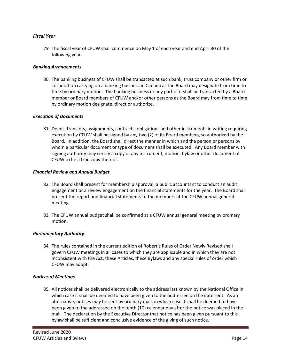# *Fiscal Year*

*79.* The fiscal year of CFUW shall commence on May 1 of each year and end April 30 of the following year.

## *Banking Arrangements*

80. The banking business of CFUW shall be transacted at such bank, trust company or other firm or corporation carrying on a banking business in Canada as the Board may designate from time to time by ordinary motion. The banking business or any part of it shall be transacted by a Board member or Board members of CFUW and/or other persons as the Board may from time to time by ordinary motion designate, direct or authorize.

# *Execution of Documents*

81. Deeds, transfers, assignments, contracts, obligations and other instruments in writing requiring execution by CFUW shall be signed by any two (2) of its Board members, so authorized by the Board. In addition, the Board shall direct the manner in which and the person or persons by whom a particular document or type of document shall be executed. Any Board member with signing authority may certify a copy of any instrument, motion, bylaw or other document of CFUW to be a true copy thereof.

## *Financial Review and Annual Budget*

- 82. The Board shall present for membership approval, a public accountant to conduct an audit engagement or a review engagement on the financial statements for the year. The Board shall present the report and financial statements to the members at the CFUW annual general meeting.
- 83. The CFUW annual budget shall be confirmed at a CFUW annual general meeting by ordinary motion.

# *Parliamentary Authority*

84. The rules contained in the current edition of Robert's Rules of Order Newly Revised shall govern CFUW meetings in all cases to which they are applicable and in which they are not inconsistent with the Act, these Articles, these Bylaws and any special rules of order which CFUW may adopt.

## *Notices of Meetings*

85. All notices shall be delivered electronically to the address last known by the National Office in which case it shall be deemed to have been given to the addressee on the date sent. As an alternative, notices may be sent by ordinary mail, in which case it shall be deemed to have been given to the addressee on the tenth (10) calendar day after the notice was placed in the mail. The declaration by the Executive Director that notice has been given pursuant to this bylaw shall be sufficient and conclusive evidence of the giving of such notice.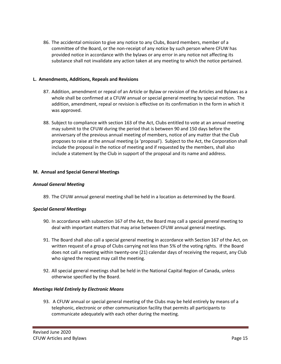86. The accidental omission to give any notice to any Clubs, Board members, member of a committee of the Board, or the non-receipt of any notice by such person where CFUW has provided notice in accordance with the bylaws or any error in any notice not affecting its substance shall not invalidate any action taken at any meeting to which the notice pertained.

# **L. Amendments, Additions, Repeals and Revisions**

- 87. Addition, amendment or repeal of an Article or Bylaw or revision of the Articles and Bylaws as a whole shall be confirmed at a CFUW annual or special general meeting by special motion. The addition, amendment, repeal or revision is effective on its confirmation in the form in which it was approved.
- 88. Subject to compliance with section 163 of the Act, Clubs entitled to vote at an annual meeting may submit to the CFUW during the period that is between 90 and 150 days before the anniversary of the previous annual meeting of members, notice of any matter that the Club proposes to raise at the annual meeting (a 'proposal'). Subject to the Act, the Corporation shall include the proposal in the notice of meeting and if requested by the members, shall also include a statement by the Club in support of the proposal and its name and address.

# **M. Annual and Special General Meetings**

## *Annual General Meeting*

89. The CFUW annual general meeting shall be held in a location as determined by the Board.

## *Special General Meetings*

- 90. In accordance with subsection 167 of the Act, the Board may call a special general meeting to deal with important matters that may arise between CFUW annual general meetings.
- 91. The Board shall also call a special general meeting in accordance with Section 167 of the Act, on written request of a group of Clubs carrying not less than 5% of the voting rights. If the Board does not call a meeting within twenty-one (21) calendar days of receiving the request, any Club who signed the request may call the meeting.
- 92. All special general meetings shall be held in the National Capital Region of Canada, unless otherwise specified by the Board.

## *Meetings Held Entirely by Electronic Means*

93. A CFUW annual or special general meeting of the Clubs may be held entirely by means of a telephonic, electronic or other communication facility that permits all participants to communicate adequately with each other during the meeting.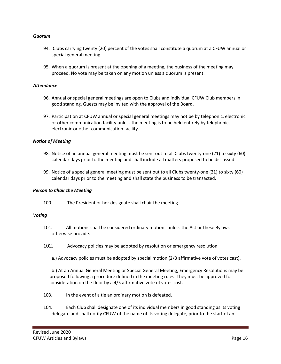## *Quorum*

- 94. Clubs carrying twenty (20) percent of the votes shall constitute a quorum at a CFUW annual or special general meeting.
- 95. When a quorum is present at the opening of a meeting, the business of the meeting may proceed. No vote may be taken on any motion unless a quorum is present.

#### *Attendance*

- 96. Annual or special general meetings are open to Clubs and individual CFUW Club members in good standing. Guests may be invited with the approval of the Board.
- 97. Participation at CFUW annual or special general meetings may not be by telephonic, electronic or other communication facility unless the meeting is to be held entirely by telephonic, electronic or other communication facility.

#### *Notice of Meeting*

- 98. Notice of an annual general meeting must be sent out to all Clubs twenty-one (21) to sixty (60) calendar days prior to the meeting and shall include all matters proposed to be discussed.
- 99. Notice of a special general meeting must be sent out to all Clubs twenty-one (21) to sixty (60) calendar days prior to the meeting and shall state the business to be transacted.

#### *Person to Chair the Meeting*

100. The President or her designate shall chair the meeting.

#### *Voting*

- 101. All motions shall be considered ordinary motions unless the Act or these Bylaws otherwise provide.
- 102. Advocacy policies may be adopted by resolution or emergency resolution.
	- a.) Advocacy policies must be adopted by special motion (2/3 affirmative vote of votes cast).

b.) At an Annual General Meeting or Special General Meeting, Emergency Resolutions may be proposed following a procedure defined in the meeting rules. They must be approved for consideration on the floor by a 4/5 affirmative vote of votes cast.

- 103. In the event of a tie an ordinary motion is defeated.
- 104. Each Club shall designate one of its individual members in good standing as its voting delegate and shall notify CFUW of the name of its voting delegate, prior to the start of an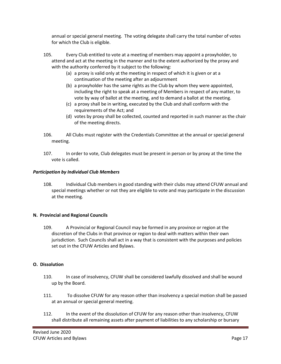annual or special general meeting. The voting delegate shall carry the total number of votes for which the Club is eligible.

- 105. Every Club entitled to vote at a meeting of members may appoint a proxyholder, to attend and act at the meeting in the manner and to the extent authorized by the proxy and with the authority conferred by it subject to the following:
	- (a) a proxy is valid only at the meeting in respect of which it is given or at a continuation of the meeting after an adjournment
	- (b) a proxyholder has the same rights as the Club by whom they were appointed, including the right to speak at a meeting of Members in respect of any matter, to vote by way of ballot at the meeting, and to demand a ballot at the meeting.
	- (c) a proxy shall be in writing, executed by the Club and shall conform with the requirements of the Act; and
	- (d) votes by proxy shall be collected, counted and reported in such manner as the chair of the meeting directs.
- 106. All Clubs must register with the Credentials Committee at the annual or special general meeting.
- 107. In order to vote, Club delegates must be present in person or by proxy at the time the vote is called.

# *Participation by Individual Club Members*

108. Individual Club members in good standing with their clubs may attend CFUW annual and special meetings whether or not they are eligible to vote and may participate in the discussion at the meeting.

# **N. Provincial and Regional Councils**

109. A Provincial or Regional Council may be formed in any province or region at the discretion of the Clubs in that province or region to deal with matters within their own jurisdiction. Such Councils shall act in a way that is consistent with the purposes and policies set out in the CFUW Articles and Bylaws.

# **O. Dissolution**

- 110. In case of insolvency, CFUW shall be considered lawfully dissolved and shall be wound up by the Board.
- 111. To dissolve CFUW for any reason other than insolvency a special motion shall be passed at an annual or special general meeting.
- 112. In the event of the dissolution of CFUW for any reason other than insolvency, CFUW shall distribute all remaining assets after payment of liabilities to any scholarship or bursary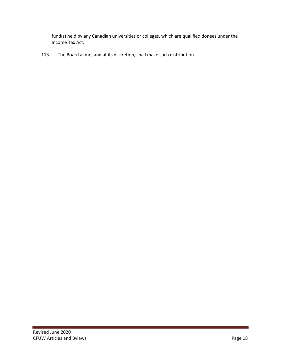fund(s) held by any Canadian universities or colleges, which are qualified donees under the Income Tax Act.

113. The Board alone, and at its discretion, shall make such distribution.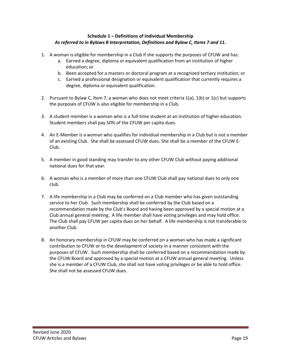# **Schedule 1 – Definitions of Individual Membership**  *As referred to in Bylaws B Interpretation, Definitions and Bylaw C, Items 7 and 11.*

- 1. A woman is eligible for membership in a Club if she supports the purposes of CFUW and has:
	- a. Earned a degree, diploma or equivalent qualification from an institution of higher education; or
	- b. Been accepted for a masters or doctoral program at a recognized tertiary institution; or
	- c. Earned a professional designation or equivalent qualification that currently requires a degree, diploma or equivalent qualification.
- 2. Pursuant to Bylaw C, Item 7, a woman who does not meet criteria 1(a), 1(b) or 1(c) but supports the purposes of CFUW is also eligible for membership in a Club.
- 3. A student member is a woman who is a full-time student at an institution of higher education. Student members shall pay 50% of the CFUW per capita dues.
- 4. An E-Member is a woman who qualifies for individual membership in a Club but is not a member of an existing Club. She shall be assessed CFUW dues. She shall be a member of the CFUW E-Club.
- 5. A member in good standing may transfer to any other CFUW Club without paying additional national dues for that year.
- 6. A woman who is a member of more than one CFUW Club shall pay national dues to only one club.
- 7. A life membership in a Club may be conferred on a Club member who has given outstanding service to her Club. Such membership shall be conferred by the Club based on a recommendation made by the Club's Board and having been approved by a special motion at a Club annual general meeting. A life member shall have voting privileges and may hold office. The Club shall pay CFUW per capita dues on her behalf. A life membership is not transferable to another Club.
- 8. An honorary membership in CFUW may be conferred on a woman who has made a significant contribution to CFUW or to the development of society in a manner consistent with the purposes of CFUW. Such membership shall be conferred based on a recommendation made by the CFUW Board and approved by a special motion at a CFUW annual general meeting. Unless she is a member of a CFUW Club, she shall not have voting privileges or be able to hold office. She shall not be assessed CFUW dues.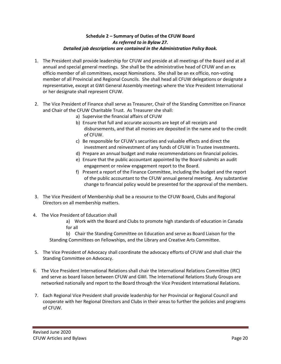# **Schedule 2 – Summary of Duties of the CFUW Board** *As referred to in Bylaw 27. Detailed job descriptions are contained in the Administration Policy Book.*

- 1. The President shall provide leadership for CFUW and preside at all meetings of the Board and at all annual and special general meetings. She shall be the administrative head of CFUW and an ex officio member of all committees, except Nominations. She shall be an ex officio, non-voting member of all Provincial and Regional Councils. She shall head all CFUW delegations or designate a representative, except at GWI General Assembly meetings where the Vice President International or her designate shall represent CFUW.
- 2. The Vice President of Finance shall serve as Treasurer, Chair of the Standing Committee on Finance and Chair of the CFUW Charitable Trust. As Treasurer she shall:
	- a) Supervise the financial affairs of CFUW
	- b) Ensure that full and accurate accounts are kept of all receipts and disbursements, and that all monies are deposited in the name and to the credit of CFUW.
	- c) Be responsible for CFUW's securities and valuable effects and direct the investment and reinvestment of any funds of CFUW in Trustee Investments.
	- d) Prepare an annual budget and make recommendations on financial policies.
	- e) Ensure that the public accountant appointed by the Board submits an audit engagement or review engagement report to the Board.
	- f) Present a report of the Finance Committee, including the budget and the report of the public accountant to the CFUW annual general meeting. Any substantive change to financial policy would be presented for the approval of the members.
- 3. The Vice President of Membership shall be a resource to the CFUW Board, Clubs and Regional Directors on all membership matters.
- 4. The Vice President of Education shall

a) Work with the Board and Clubs to promote high standards of education in Canada for all

b) Chair the Standing Committee on Education and serve as Board Liaison for the Standing Committees on Fellowships, and the Library and Creative Arts Committee.

- 5. The Vice President of Advocacy shall coordinate the advocacy efforts of CFUW and shall chair the Standing Committee on Advocacy.
- 6. The Vice President International Relations shall chair the International Relations Committee (IRC) and serve as board liaison between CFUW and GWI. The International Relations Study Groups are networked nationally and report to the Board through the Vice President International Relations.
- 7. Each Regional Vice President shall provide leadership for her Provincial or Regional Council and cooperate with her Regional Directors and Clubs in their areas to further the policies and programs of CFUW.